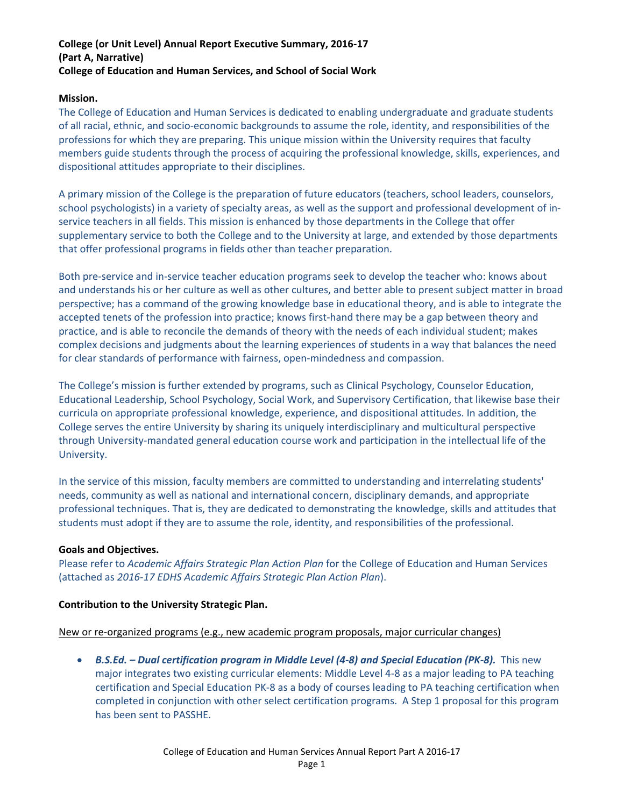## **College (or Unit Level) Annual Report Executive Summary, 2016‐17 (Part A, Narrative) College of Education and Human Services, and School of Social Work**

### **Mission.**

The College of Education and Human Services is dedicated to enabling undergraduate and graduate students of all racial, ethnic, and socio‐economic backgrounds to assume the role, identity, and responsibilities of the professions for which they are preparing. This unique mission within the University requires that faculty members guide students through the process of acquiring the professional knowledge, skills, experiences, and dispositional attitudes appropriate to their disciplines.

A primary mission of the College is the preparation of future educators (teachers, school leaders, counselors, school psychologists) in a variety of specialty areas, as well as the support and professional development of in‐ service teachers in all fields. This mission is enhanced by those departments in the College that offer supplementary service to both the College and to the University at large, and extended by those departments that offer professional programs in fields other than teacher preparation.

Both pre‐service and in‐service teacher education programs seek to develop the teacher who: knows about and understands his or her culture as well as other cultures, and better able to present subject matter in broad perspective; has a command of the growing knowledge base in educational theory, and is able to integrate the accepted tenets of the profession into practice; knows first‐hand there may be a gap between theory and practice, and is able to reconcile the demands of theory with the needs of each individual student; makes complex decisions and judgments about the learning experiences of students in a way that balances the need for clear standards of performance with fairness, open-mindedness and compassion.

The College's mission is further extended by programs, such as Clinical Psychology, Counselor Education, Educational Leadership, School Psychology, Social Work, and Supervisory Certification, that likewise base their curricula on appropriate professional knowledge, experience, and dispositional attitudes. In addition, the College serves the entire University by sharing its uniquely interdisciplinary and multicultural perspective through University‐mandated general education course work and participation in the intellectual life of the University.

In the service of this mission, faculty members are committed to understanding and interrelating students' needs, community as well as national and international concern, disciplinary demands, and appropriate professional techniques. That is, they are dedicated to demonstrating the knowledge, skills and attitudes that students must adopt if they are to assume the role, identity, and responsibilities of the professional.

### **Goals and Objectives.**

Please refer to *Academic Affairs Strategic Plan Action Plan* for the College of Education and Human Services (attached as *2016‐17 EDHS Academic Affairs Strategic Plan Action Plan*).

### **Contribution to the University Strategic Plan.**

#### New or re‐organized programs (e.g., new academic program proposals, major curricular changes)

 *B.S.Ed. – Dual certification program in Middle Level (4‐8) and Special Education (PK‐8).* This new major integrates two existing curricular elements: Middle Level 4‐8 as a major leading to PA teaching certification and Special Education PK‐8 as a body of courses leading to PA teaching certification when completed in conjunction with other select certification programs. A Step 1 proposal for this program has been sent to PASSHE.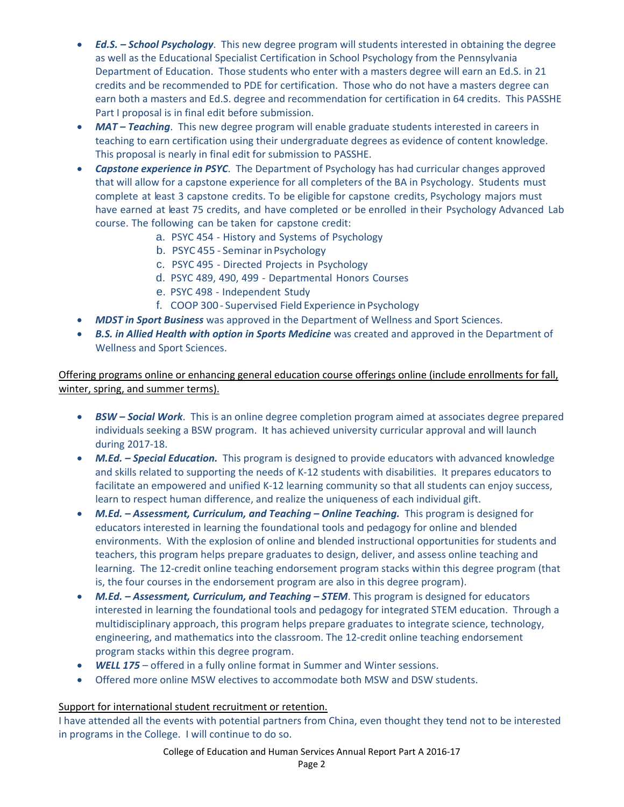- *Ed.S. – School Psychology*. This new degree program will students interested in obtaining the degree as well as the Educational Specialist Certification in School Psychology from the Pennsylvania Department of Education. Those students who enter with a masters degree will earn an Ed.S. in 21 credits and be recommended to PDE for certification. Those who do not have a masters degree can earn both a masters and Ed.S. degree and recommendation for certification in 64 credits. This PASSHE Part I proposal is in final edit before submission.
- MAT Teaching. This new degree program will enable graduate students interested in careers in teaching to earn certification using their undergraduate degrees as evidence of content knowledge. This proposal is nearly in final edit for submission to PASSHE.
- *Capstone experience in PSYC*. The Department of Psychology has had curricular changes approved that will allow for a capstone experience for all completers of the BA in Psychology. Students must complete at least 3 capstone credits. To be eligible for capstone credits, Psychology majors must have earned at least 75 credits, and have completed or be enrolled in their Psychology Advanced Lab course. The following can be taken for capstone credit:
	- a. PSYC 454 ‐ History and Systems of Psychology
	- b. PSYC 455 ‐ Seminar inPsychology
	- c. PSYC 495 ‐ Directed Projects in Psychology
	- d. PSYC 489, 490, 499 ‐ Departmental Honors Courses
	- e. PSYC 498 ‐ Independent Study
	- f. COOP 300 Supervised Field Experience in Psychology
- *MDST in Sport Business* was approved in the Department of Wellness and Sport Sciences.
- *B.S. in Allied Health with option in Sports Medicine* was created and approved in the Department of Wellness and Sport Sciences.

Offering programs online or enhancing general education course offerings online (include enrollments for fall, winter, spring, and summer terms).

- *BSW – Social Work*. This is an online degree completion program aimed at associates degree prepared individuals seeking a BSW program. It has achieved university curricular approval and will launch during 2017‐18.
- *M.Ed. – Special Education.* This program is designed to provide educators with advanced knowledge and skills related to supporting the needs of K‐12 students with disabilities. It prepares educators to facilitate an empowered and unified K‐12 learning community so that all students can enjoy success, learn to respect human difference, and realize the uniqueness of each individual gift.
- *M.Ed. – Assessment, Curriculum, and Teaching – Online Teaching.* This program is designed for educators interested in learning the foundational tools and pedagogy for online and blended environments. With the explosion of online and blended instructional opportunities for students and teachers, this program helps prepare graduates to design, deliver, and assess online teaching and learning. The 12‐credit online teaching endorsement program stacks within this degree program (that is, the four courses in the endorsement program are also in this degree program).
- *M.Ed. – Assessment, Curriculum, and Teaching – STEM*. This program is designed for educators interested in learning the foundational tools and pedagogy for integrated STEM education. Through a multidisciplinary approach, this program helps prepare graduates to integrate science, technology, engineering, and mathematics into the classroom. The 12-credit online teaching endorsement program stacks within this degree program.
- *WELL 175* offered in a fully online format in Summer and Winter sessions.
- Offered more online MSW electives to accommodate both MSW and DSW students.

# Support for international student recruitment or retention.

I have attended all the events with potential partners from China, even thought they tend not to be interested in programs in the College. I will continue to do so.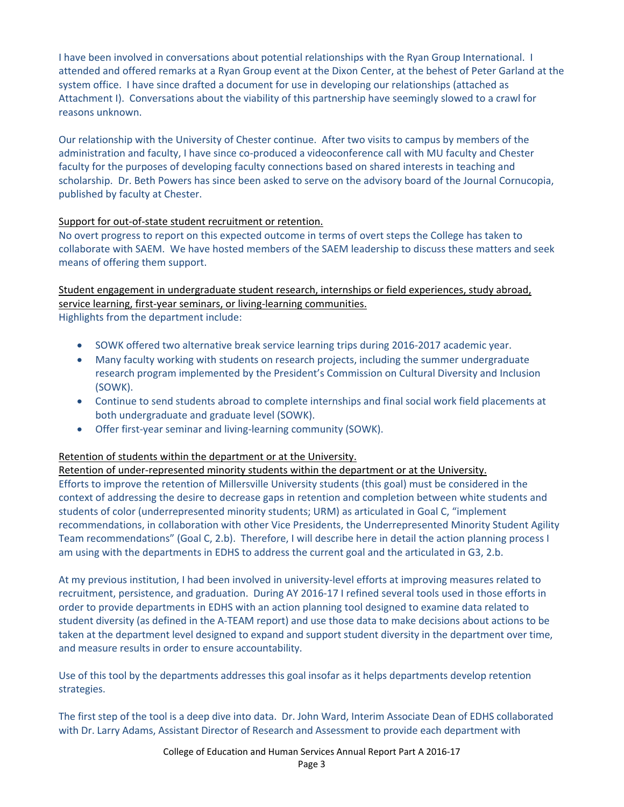I have been involved in conversations about potential relationships with the Ryan Group International. I attended and offered remarks at a Ryan Group event at the Dixon Center, at the behest of Peter Garland at the system office. I have since drafted a document for use in developing our relationships (attached as Attachment I). Conversations about the viability of this partnership have seemingly slowed to a crawl for reasons unknown.

Our relationship with the University of Chester continue. After two visits to campus by members of the administration and faculty, I have since co-produced a videoconference call with MU faculty and Chester faculty for the purposes of developing faculty connections based on shared interests in teaching and scholarship. Dr. Beth Powers has since been asked to serve on the advisory board of the Journal Cornucopia, published by faculty at Chester.

# Support for out-of-state student recruitment or retention.

No overt progress to report on this expected outcome in terms of overt steps the College has taken to collaborate with SAEM. We have hosted members of the SAEM leadership to discuss these matters and seek means of offering them support.

Student engagement in undergraduate student research, internships or field experiences, study abroad, service learning, first-year seminars, or living-learning communities. Highlights from the department include:

- SOWK offered two alternative break service learning trips during 2016-2017 academic year.
- Many faculty working with students on research projects, including the summer undergraduate research program implemented by the President's Commission on Cultural Diversity and Inclusion (SOWK).
- Continue to send students abroad to complete internships and final social work field placements at both undergraduate and graduate level (SOWK).
- Offer first-year seminar and living-learning community (SOWK).

# Retention of students within the department or at the University.

Retention of under-represented minority students within the department or at the University. Efforts to improve the retention of Millersville University students (this goal) must be considered in the context of addressing the desire to decrease gaps in retention and completion between white students and students of color (underrepresented minority students; URM) as articulated in Goal C, "implement recommendations, in collaboration with other Vice Presidents, the Underrepresented Minority Student Agility Team recommendations" (Goal C, 2.b). Therefore, I will describe here in detail the action planning process I am using with the departments in EDHS to address the current goal and the articulated in G3, 2.b.

At my previous institution, I had been involved in university‐level efforts at improving measures related to recruitment, persistence, and graduation. During AY 2016‐17 I refined several tools used in those efforts in order to provide departments in EDHS with an action planning tool designed to examine data related to student diversity (as defined in the A‐TEAM report) and use those data to make decisions about actions to be taken at the department level designed to expand and support student diversity in the department over time, and measure results in order to ensure accountability.

Use of this tool by the departments addresses this goal insofar as it helps departments develop retention strategies.

The first step of the tool is a deep dive into data. Dr. John Ward, Interim Associate Dean of EDHS collaborated with Dr. Larry Adams, Assistant Director of Research and Assessment to provide each department with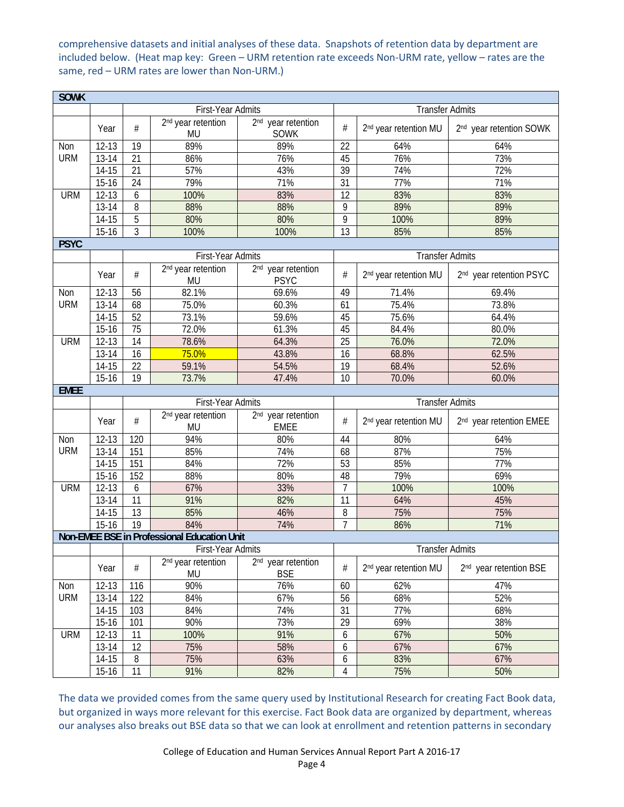comprehensive datasets and initial analyses of these data. Snapshots of retention data by department are included below. (Heat map key: Green – URM retention rate exceeds Non-URM rate, yellow – rates are the same, red – URM rates are lower than Non-URM.)

| <b>SOWK</b> |           |                   |                                             |                                               |                |                                   |                                     |  |
|-------------|-----------|-------------------|---------------------------------------------|-----------------------------------------------|----------------|-----------------------------------|-------------------------------------|--|
|             |           |                   | First-Year Admits                           |                                               |                | <b>Transfer Admits</b>            |                                     |  |
|             | Year      | #                 | 2 <sup>nd</sup> year retention<br><b>MU</b> | 2 <sup>nd</sup> year retention<br>SOWK        | #              | 2 <sup>nd</sup> year retention MU | 2 <sup>nd</sup> year retention SOWK |  |
| Non         | $12 - 13$ | 19                | 89%                                         | 89%                                           | 22             | 64%                               | 64%                                 |  |
| <b>URM</b>  | $13 - 14$ | 21                | 86%                                         | 76%                                           | 45             | 76%                               | 73%                                 |  |
|             | 14-15     | 21                | 57%                                         | 43%                                           | 39             | 74%                               | 72%                                 |  |
|             | $15 - 16$ | 24                | 79%                                         | 71%                                           | 31             | 77%                               | 71%                                 |  |
| <b>URM</b>  | $12 - 13$ | 6                 | 100%                                        | 83%                                           | 12             | 83%                               | 83%                                 |  |
|             | $13 - 14$ | 8                 | 88%                                         | 88%                                           | 9              | 89%                               | 89%                                 |  |
|             | $14 - 15$ | 5                 | 80%                                         | 80%                                           | 9              | 100%                              | 89%                                 |  |
|             | $15 - 16$ | 3                 | 100%                                        | 100%                                          | 13             | 85%                               | 85%                                 |  |
| <b>PSYC</b> |           |                   |                                             |                                               |                |                                   |                                     |  |
|             |           |                   | First-Year Admits                           |                                               |                | <b>Transfer Admits</b>            |                                     |  |
|             | Year      | $#$               | 2 <sup>nd</sup> year retention<br><b>MU</b> | 2 <sup>nd</sup> year retention<br><b>PSYC</b> | #              | 2 <sup>nd</sup> year retention MU | 2 <sup>nd</sup> year retention PSYC |  |
| Non         | $12 - 13$ | 56                | 82.1%                                       | 69.6%                                         | 49             | 71.4%                             | 69.4%                               |  |
| <b>URM</b>  | 13-14     | 68                | 75.0%                                       | 60.3%                                         | 61             | 75.4%                             | 73.8%                               |  |
|             | $14 - 15$ | 52                | 73.1%                                       | 59.6%                                         | 45             | 75.6%                             | 64.4%                               |  |
|             | $15 - 16$ | 75                | 72.0%                                       | 61.3%                                         | 45             | 84.4%                             | 80.0%                               |  |
| <b>URM</b>  | $12 - 13$ | 14                | 78.6%                                       | 64.3%                                         | 25             | 76.0%                             | 72.0%                               |  |
|             | $13 - 14$ | 16                | 75.0%                                       | 43.8%                                         | 16             | 68.8%                             | 62.5%                               |  |
|             | $14 - 15$ | 22                | 59.1%                                       | 54.5%                                         | 19             | 68.4%                             | 52.6%                               |  |
|             | $15 - 16$ | 19                | 73.7%                                       | 47.4%                                         | 10             | 70.0%                             | 60.0%                               |  |
| <b>EMEE</b> |           |                   |                                             |                                               |                |                                   |                                     |  |
|             |           |                   | First-Year Admits                           |                                               |                | <b>Transfer Admits</b>            |                                     |  |
|             | Year      | $#$               | 2 <sup>nd</sup> year retention<br>MU        | 2 <sup>nd</sup> year retention<br><b>EMEE</b> | #              | 2 <sup>nd</sup> year retention MU | 2 <sup>nd</sup> year retention EMEE |  |
| Non         | $12 - 13$ | 120               | 94%                                         | 80%                                           | 44             | 80%                               | 64%                                 |  |
| <b>URM</b>  | 13-14     | 151               | 85%                                         | 74%                                           | 68             | 87%                               | 75%                                 |  |
|             | $14 - 15$ | 151               | 84%                                         | 72%                                           | 53             | 85%                               | 77%                                 |  |
|             | $15 - 16$ | 152               | 88%                                         | 80%                                           | 48             | 79%                               | 69%                                 |  |
| <b>URM</b>  | $12 - 13$ | 6                 | 67%                                         | 33%                                           | $\overline{7}$ | 100%                              | 100%                                |  |
|             | $13 - 14$ | 11                | 91%                                         | 82%                                           | 11             | 64%                               | 45%                                 |  |
|             | $14 - 15$ | 13                | 85%                                         | 46%                                           | 8              | 75%                               | 75%                                 |  |
|             | $15 - 16$ | 19                | 84%                                         | 74%                                           | $\overline{7}$ | 86%                               | 71%                                 |  |
|             |           |                   | Non-EMEE BSE in Professional Education Unit |                                               |                |                                   |                                     |  |
|             |           | First-Year Admits |                                             |                                               |                | <b>Transfer Admits</b>            |                                     |  |
|             | Year      | #                 | 2 <sup>nd</sup> year retention<br>MU        | 2 <sup>nd</sup> year retention<br><b>BSE</b>  | $_{\#}$        | 2 <sup>nd</sup> year retention MU | 2 <sup>nd</sup> year retention BSE  |  |
| Non         | $12 - 13$ | 116               | 90%                                         | 76%                                           | 60             | 62%                               | 47%                                 |  |
| <b>URM</b>  | 13-14     | 122               | 84%                                         | 67%                                           | 56             | 68%                               | 52%                                 |  |
|             | $14 - 15$ | 103               | 84%                                         | 74%                                           | 31             | 77%                               | 68%                                 |  |
|             | $15 - 16$ | 101               | 90%                                         | 73%                                           | 29             | 69%                               | 38%                                 |  |
| <b>URM</b>  | $12 - 13$ | 11                | 100%                                        | 91%                                           | 6              | 67%                               | 50%                                 |  |
|             | $13 - 14$ | 12                | 75%                                         | 58%                                           | 6              | 67%                               | 67%                                 |  |
|             | $14 - 15$ | 8                 | 75%                                         | 63%                                           | 6              | 83%                               | 67%                                 |  |
|             | $15 - 16$ | 11                | 91%                                         | 82%                                           | 4              | 75%                               | 50%                                 |  |
|             |           |                   |                                             |                                               |                |                                   |                                     |  |

The data we provided comes from the same query used by Institutional Research for creating Fact Book data, but organized in ways more relevant for this exercise. Fact Book data are organized by department, whereas our analyses also breaks out BSE data so that we can look at enrollment and retention patterns in secondary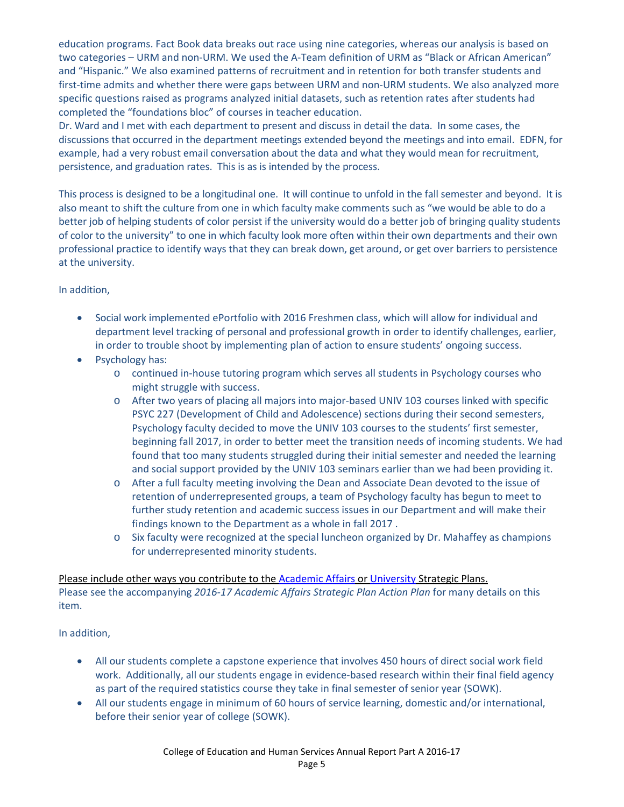education programs. Fact Book data breaks out race using nine categories, whereas our analysis is based on two categories – URM and non‐URM. We used the A‐Team definition of URM as "Black or African American" and "Hispanic." We also examined patterns of recruitment and in retention for both transfer students and first-time admits and whether there were gaps between URM and non-URM students. We also analyzed more specific questions raised as programs analyzed initial datasets, such as retention rates after students had completed the "foundations bloc" of courses in teacher education.

Dr. Ward and I met with each department to present and discuss in detail the data. In some cases, the discussions that occurred in the department meetings extended beyond the meetings and into email. EDFN, for example, had a very robust email conversation about the data and what they would mean for recruitment, persistence, and graduation rates. This is as is intended by the process.

This process is designed to be a longitudinal one. It will continue to unfold in the fall semester and beyond. It is also meant to shift the culture from one in which faculty make comments such as "we would be able to do a better job of helping students of color persist if the university would do a better job of bringing quality students of color to the university" to one in which faculty look more often within their own departments and their own professional practice to identify ways that they can break down, get around, or get over barriers to persistence at the university.

In addition,

- Social work implemented ePortfolio with 2016 Freshmen class, which will allow for individual and department level tracking of personal and professional growth in order to identify challenges, earlier, in order to trouble shoot by implementing plan of action to ensure students' ongoing success.
- Psychology has:
	- o continued in‐house tutoring program which serves all students in Psychology courses who might struggle with success.
	- o After two years of placing all majors into major‐based UNIV 103 courses linked with specific PSYC 227 (Development of Child and Adolescence) sections during their second semesters, Psychology faculty decided to move the UNIV 103 courses to the students' first semester, beginning fall 2017, in order to better meet the transition needs of incoming students. We had found that too many students struggled during their initial semester and needed the learning and social support provided by the UNIV 103 seminars earlier than we had been providing it.
	- o After a full faculty meeting involving the Dean and Associate Dean devoted to the issue of retention of underrepresented groups, a team of Psychology faculty has begun to meet to further study retention and academic success issues in our Department and will make their findings known to the Department as a whole in fall 2017 .
	- o Six faculty were recognized at the special luncheon organized by Dr. Mahaffey as champions for underrepresented minority students.

### Please include other ways you contribute to the Academic Affairs or University Strategic Plans.

Please see the accompanying *2016‐17 Academic Affairs Strategic Plan Action Plan* for many details on this item.

In addition,

- All our students complete a capstone experience that involves 450 hours of direct social work field work. Additionally, all our students engage in evidence-based research within their final field agency as part of the required statistics course they take in final semester of senior year (SOWK).
- All our students engage in minimum of 60 hours of service learning, domestic and/or international, before their senior year of college (SOWK).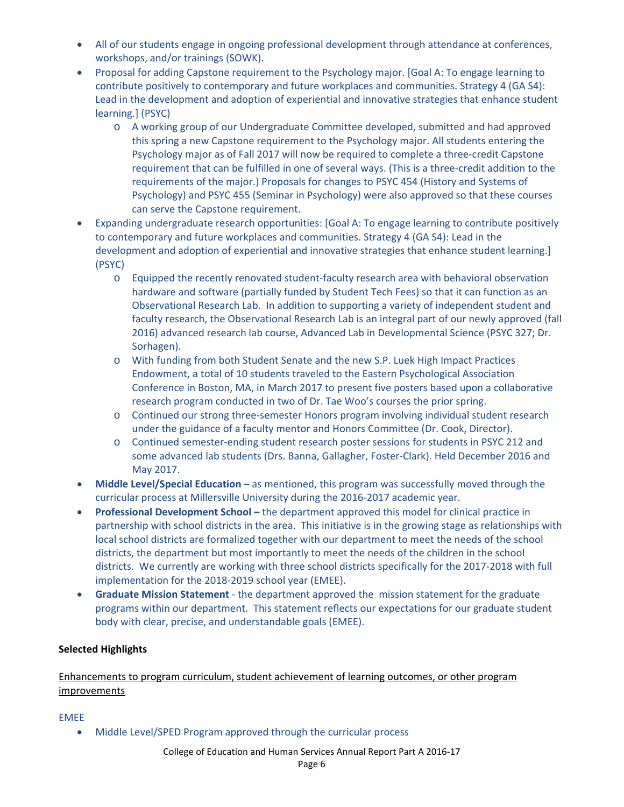- All of our students engage in ongoing professional development through attendance at conferences, workshops, and/or trainings (SOWK).
- Proposal for adding Capstone requirement to the Psychology major. [Goal A: To engage learning to contribute positively to contemporary and future workplaces and communities. Strategy 4 (GA S4): Lead in the development and adoption of experiential and innovative strategies that enhance student learning.] (PSYC)
	- o A working group of our Undergraduate Committee developed, submitted and had approved this spring a new Capstone requirement to the Psychology major. All students entering the Psychology major as of Fall 2017 will now be required to complete a three‐credit Capstone requirement that can be fulfilled in one of several ways. (This is a three‐credit addition to the requirements of the major.) Proposals for changes to PSYC 454 (History and Systems of Psychology) and PSYC 455 (Seminar in Psychology) were also approved so that these courses can serve the Capstone requirement.
- Expanding undergraduate research opportunities: [Goal A: To engage learning to contribute positively to contemporary and future workplaces and communities. Strategy 4 (GA S4): Lead in the development and adoption of experiential and innovative strategies that enhance student learning.] (PSYC)
	- o Equipped the recently renovated student‐faculty research area with behavioral observation hardware and software (partially funded by Student Tech Fees) so that it can function as an Observational Research Lab. In addition to supporting a variety of independent student and faculty research, the Observational Research Lab is an integral part of our newly approved (fall 2016) advanced research lab course, Advanced Lab in Developmental Science (PSYC 327; Dr. Sorhagen).
	- o With funding from both Student Senate and the new S.P. Luek High Impact Practices Endowment, a total of 10 students traveled to the Eastern Psychological Association Conference in Boston, MA, in March 2017 to present five posters based upon a collaborative research program conducted in two of Dr. Tae Woo's courses the prior spring.
	- o Continued our strong three‐semester Honors program involving individual student research under the guidance of a faculty mentor and Honors Committee (Dr. Cook, Director).
	- o Continued semester‐ending student research poster sessions for students in PSYC 212 and some advanced lab students (Drs. Banna, Gallagher, Foster‐Clark). Held December 2016 and May 2017.
- **Middle Level/Special Education** as mentioned, this program was successfully moved through the curricular process at Millersville University during the 2016‐2017 academic year.
- **Professional Development School –** the department approved this model for clinical practice in partnership with school districts in the area. This initiative is in the growing stage as relationships with local school districts are formalized together with our department to meet the needs of the school districts, the department but most importantly to meet the needs of the children in the school districts. We currently are working with three school districts specifically for the 2017‐2018 with full implementation for the 2018‐2019 school year (EMEE).
- **Graduate Mission Statement** ‐ the department approved the mission statement for the graduate programs within our department. This statement reflects our expectations for our graduate student body with clear, precise, and understandable goals (EMEE).

# **Selected Highlights**

Enhancements to program curriculum, student achievement of learning outcomes, or other program improvements

### EMEE

Middle Level/SPED Program approved through the curricular process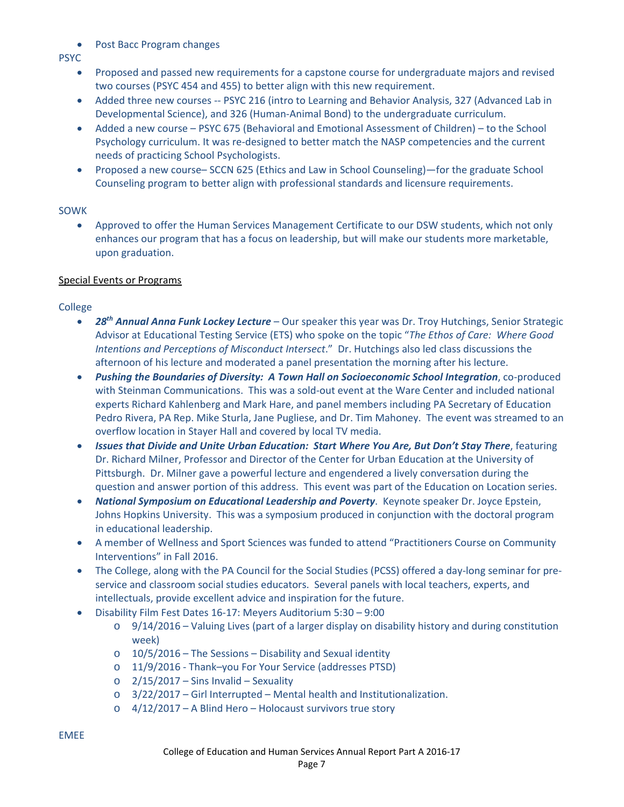• Post Bacc Program changes

PSYC

- Proposed and passed new requirements for a capstone course for undergraduate majors and revised two courses (PSYC 454 and 455) to better align with this new requirement.
- Added three new courses -- PSYC 216 (intro to Learning and Behavior Analysis, 327 (Advanced Lab in Developmental Science), and 326 (Human‐Animal Bond) to the undergraduate curriculum.
- Added a new course PSYC 675 (Behavioral and Emotional Assessment of Children) to the School Psychology curriculum. It was re‐designed to better match the NASP competencies and the current needs of practicing School Psychologists.
- Proposed a new course– SCCN 625 (Ethics and Law in School Counseling)—for the graduate School Counseling program to better align with professional standards and licensure requirements.

### SOWK

 Approved to offer the Human Services Management Certificate to our DSW students, which not only enhances our program that has a focus on leadership, but will make our students more marketable, upon graduation.

## Special Events or Programs

### College

- *28th Annual Anna Funk Lockey Lecture* Our speaker this year was Dr. Troy Hutchings, Senior Strategic Advisor at Educational Testing Service (ETS) who spoke on the topic "*The Ethos of Care: Where Good Intentions and Perceptions of Misconduct Intersect*." Dr. Hutchings also led class discussions the afternoon of his lecture and moderated a panel presentation the morning after his lecture.
- *Pushing the Boundaries of Diversity: A Town Hall on Socioeconomic School Integration*, co‐produced with Steinman Communications. This was a sold-out event at the Ware Center and included national experts Richard Kahlenberg and Mark Hare, and panel members including PA Secretary of Education Pedro Rivera, PA Rep. Mike Sturla, Jane Pugliese, and Dr. Tim Mahoney. The event was streamed to an overflow location in Stayer Hall and covered by local TV media.
- *Issues that Divide and Unite Urban Education: Start Where You Are, But Don't Stay There*, featuring Dr. Richard Milner, Professor and Director of the Center for Urban Education at the University of Pittsburgh. Dr. Milner gave a powerful lecture and engendered a lively conversation during the question and answer portion of this address. This event was part of the Education on Location series.
- *National Symposium on Educational Leadership and Poverty*. Keynote speaker Dr. Joyce Epstein, Johns Hopkins University. This was a symposium produced in conjunction with the doctoral program in educational leadership.
- A member of Wellness and Sport Sciences was funded to attend "Practitioners Course on Community Interventions" in Fall 2016.
- The College, along with the PA Council for the Social Studies (PCSS) offered a day-long seminar for preservice and classroom social studies educators. Several panels with local teachers, experts, and intellectuals, provide excellent advice and inspiration for the future.
- Disability Film Fest Dates 16‐17: Meyers Auditorium 5:30 9:00
	- $\circ$  9/14/2016 Valuing Lives (part of a larger display on disability history and during constitution week)
	- $\circ$  10/5/2016 The Sessions Disability and Sexual identity
	- o 11/9/2016 ‐ Thank–you For Your Service (addresses PTSD)
	- $\circ$  2/15/2017 Sins Invalid Sexuality
	- o 3/22/2017 Girl Interrupted Mental health and Institutionalization.
	- o 4/12/2017 A Blind Hero Holocaust survivors true story

EMEE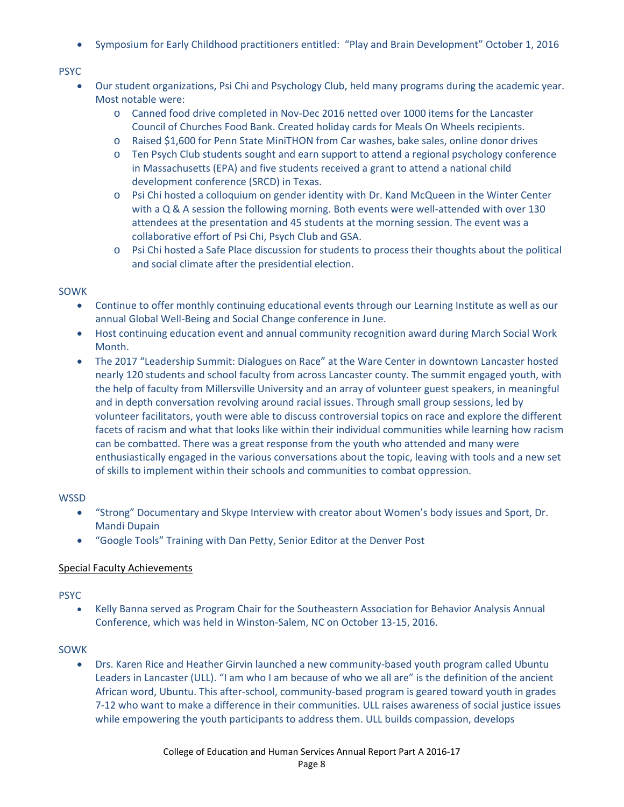Symposium for Early Childhood practitioners entitled: "Play and Brain Development" October 1, 2016

### PSYC

- Our student organizations, Psi Chi and Psychology Club, held many programs during the academic year. Most notable were:
	- o Canned food drive completed in Nov‐Dec 2016 netted over 1000 items for the Lancaster Council of Churches Food Bank. Created holiday cards for Meals On Wheels recipients.
	- o Raised \$1,600 for Penn State MiniTHON from Car washes, bake sales, online donor drives
	- o Ten Psych Club students sought and earn support to attend a regional psychology conference in Massachusetts (EPA) and five students received a grant to attend a national child development conference (SRCD) in Texas.
	- o Psi Chi hosted a colloquium on gender identity with Dr. Kand McQueen in the Winter Center with a Q & A session the following morning. Both events were well-attended with over 130 attendees at the presentation and 45 students at the morning session. The event was a collaborative effort of Psi Chi, Psych Club and GSA.
	- o Psi Chi hosted a Safe Place discussion for students to process their thoughts about the political and social climate after the presidential election.

### SOWK

- Continue to offer monthly continuing educational events through our Learning Institute as well as our annual Global Well‐Being and Social Change conference in June.
- Host continuing education event and annual community recognition award during March Social Work Month.
- The 2017 "Leadership Summit: Dialogues on Race" at the Ware Center in downtown Lancaster hosted nearly 120 students and school faculty from across Lancaster county. The summit engaged youth, with the help of faculty from Millersville University and an array of volunteer guest speakers, in meaningful and in depth conversation revolving around racial issues. Through small group sessions, led by volunteer facilitators, youth were able to discuss controversial topics on race and explore the different facets of racism and what that looks like within their individual communities while learning how racism can be combatted. There was a great response from the youth who attended and many were enthusiastically engaged in the various conversations about the topic, leaving with tools and a new set of skills to implement within their schools and communities to combat oppression.

#### **WSSD**

- "Strong" Documentary and Skype Interview with creator about Women's body issues and Sport, Dr. Mandi Dupain
- "Google Tools" Training with Dan Petty, Senior Editor at the Denver Post

### Special Faculty Achievements

#### PSYC

 Kelly Banna served as Program Chair for the Southeastern Association for Behavior Analysis Annual Conference, which was held in Winston‐Salem, NC on October 13‐15, 2016.

### SOWK

● Drs. Karen Rice and Heather Girvin launched a new community-based youth program called Ubuntu Leaders in Lancaster (ULL). "I am who I am because of who we all are" is the definition of the ancient African word, Ubuntu. This after‐school, community‐based program is geared toward youth in grades 7‐12 who want to make a difference in their communities. ULL raises awareness of social justice issues while empowering the youth participants to address them. ULL builds compassion, develops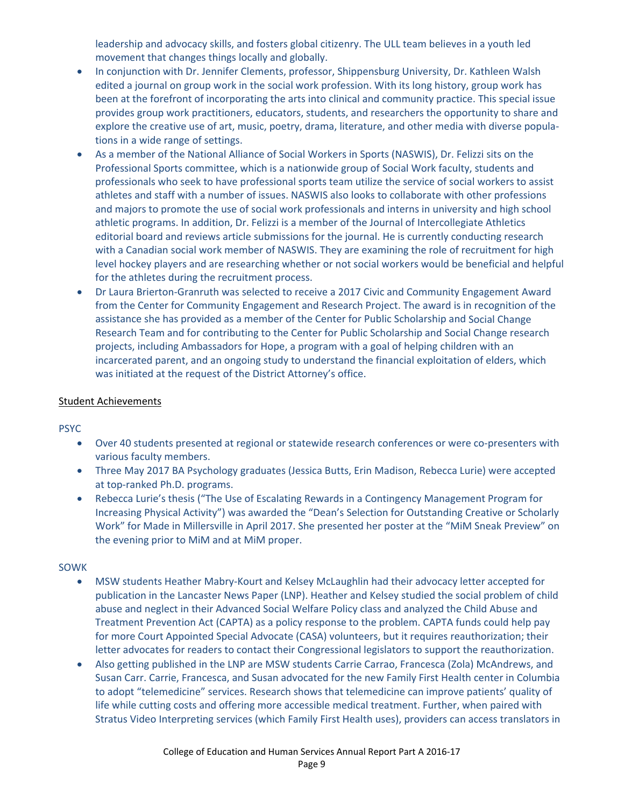leadership and advocacy skills, and fosters global citizenry. The ULL team believes in a youth led movement that changes things locally and globally.

- In conjunction with Dr. Jennifer Clements, professor, Shippensburg University, Dr. Kathleen Walsh edited a journal on group work in the social work profession. With its long history, group work has been at the forefront of incorporating the arts into clinical and community practice. This special issue provides group work practitioners, educators, students, and researchers the opportunity to share and explore the creative use of art, music, poetry, drama, literature, and other media with diverse populations in a wide range of settings.
- As a member of the National Alliance of Social Workers in Sports (NASWIS), Dr. Felizzi sits on the Professional Sports committee, which is a nationwide group of Social Work faculty, students and professionals who seek to have professional sports team utilize the service of social workers to assist athletes and staff with a number of issues. NASWIS also looks to collaborate with other professions and majors to promote the use of social work professionals and interns in university and high school athletic programs. In addition, Dr. Felizzi is a member of the Journal of Intercollegiate Athletics editorial board and reviews article submissions for the journal. He is currently conducting research with a Canadian social work member of NASWIS. They are examining the role of recruitment for high level hockey players and are researching whether or not social workers would be beneficial and helpful for the athletes during the recruitment process.
- Dr Laura Brierton-Granruth was selected to receive a 2017 Civic and Community Engagement Award from the Center for Community Engagement and Research Project. The award is in recognition of the assistance she has provided as a member of the Center for Public Scholarship and Social Change Research Team and for contributing to the Center for Public Scholarship and Social Change research projects, including Ambassadors for Hope, a program with a goal of helping children with an incarcerated parent, and an ongoing study to understand the financial exploitation of elders, which was initiated at the request of the District Attorney's office.

### Student Achievements

PSYC

- Over 40 students presented at regional or statewide research conferences or were co-presenters with various faculty members.
- Three May 2017 BA Psychology graduates (Jessica Butts, Erin Madison, Rebecca Lurie) were accepted at top‐ranked Ph.D. programs.
- Rebecca Lurie's thesis ("The Use of Escalating Rewards in a Contingency Management Program for Increasing Physical Activity") was awarded the "Dean's Selection for Outstanding Creative or Scholarly Work" for Made in Millersville in April 2017. She presented her poster at the "MiM Sneak Preview" on the evening prior to MiM and at MiM proper.

#### SOWK

- MSW students Heather Mabry-Kourt and Kelsey McLaughlin had their advocacy letter accepted for publication in the Lancaster News Paper (LNP). Heather and Kelsey studied the social problem of child abuse and neglect in their Advanced Social Welfare Policy class and analyzed the Child Abuse and Treatment Prevention Act (CAPTA) as a policy response to the problem. CAPTA funds could help pay for more Court Appointed Special Advocate (CASA) volunteers, but it requires reauthorization; their letter advocates for readers to contact their Congressional legislators to support the reauthorization.
- Also getting published in the LNP are MSW students Carrie Carrao, Francesca (Zola) McAndrews, and Susan Carr. Carrie, Francesca, and Susan advocated for the new Family First Health center in Columbia to adopt "telemedicine" services. Research shows that telemedicine can improve patients' quality of life while cutting costs and offering more accessible medical treatment. Further, when paired with Stratus Video Interpreting services (which Family First Health uses), providers can access translators in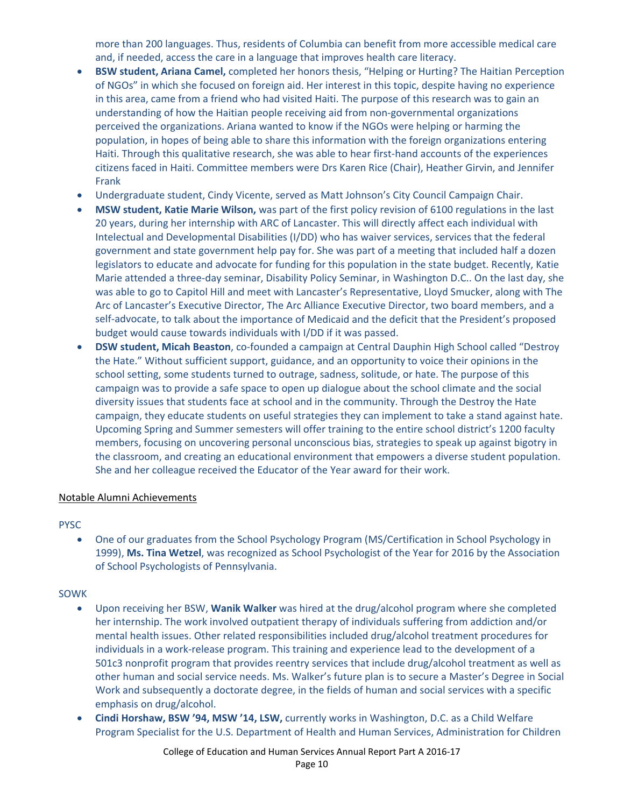more than 200 languages. Thus, residents of Columbia can benefit from more accessible medical care and, if needed, access the care in a language that improves health care literacy.

- **BSW student, Ariana Camel,** completed her honors thesis, "Helping or Hurting? The Haitian Perception of NGOs" in which she focused on foreign aid. Her interest in this topic, despite having no experience in this area, came from a friend who had visited Haiti. The purpose of this research was to gain an understanding of how the Haitian people receiving aid from non‐governmental organizations perceived the organizations. Ariana wanted to know if the NGOs were helping or harming the population, in hopes of being able to share this information with the foreign organizations entering Haiti. Through this qualitative research, she was able to hear first-hand accounts of the experiences citizens faced in Haiti. Committee members were Drs Karen Rice (Chair), Heather Girvin, and Jennifer Frank
- Undergraduate student, Cindy Vicente, served as Matt Johnson's City Council Campaign Chair.
- **MSW student, Katie Marie Wilson,** was part of the first policy revision of 6100 regulations in the last 20 years, during her internship with ARC of Lancaster. This will directly affect each individual with Intelectual and Developmental Disabilities (I/DD) who has waiver services, services that the federal government and state government help pay for. She was part of a meeting that included half a dozen legislators to educate and advocate for funding for this population in the state budget. Recently, Katie Marie attended a three-day seminar, Disability Policy Seminar, in Washington D.C.. On the last day, she was able to go to Capitol Hill and meet with Lancaster's Representative, Lloyd Smucker, along with The Arc of Lancaster's Executive Director, The Arc Alliance Executive Director, two board members, and a self-advocate, to talk about the importance of Medicaid and the deficit that the President's proposed budget would cause towards individuals with I/DD if it was passed.
- **DSW student, Micah Beaston**, co‐founded a campaign at Central Dauphin High School called "Destroy the Hate." Without sufficient support, guidance, and an opportunity to voice their opinions in the school setting, some students turned to outrage, sadness, solitude, or hate. The purpose of this campaign was to provide a safe space to open up dialogue about the school climate and the social diversity issues that students face at school and in the community. Through the Destroy the Hate campaign, they educate students on useful strategies they can implement to take a stand against hate. Upcoming Spring and Summer semesters will offer training to the entire school district's 1200 faculty members, focusing on uncovering personal unconscious bias, strategies to speak up against bigotry in the classroom, and creating an educational environment that empowers a diverse student population. She and her colleague received the Educator of the Year award for their work.

#### Notable Alumni Achievements

#### PYSC

 One of our graduates from the School Psychology Program (MS/Certification in School Psychology in 1999), **Ms. Tina Wetzel**, was recognized as School Psychologist of the Year for 2016 by the Association of School Psychologists of Pennsylvania.

### SOWK

- Upon receiving her BSW, **Wanik Walker** was hired at the drug/alcohol program where she completed her internship. The work involved outpatient therapy of individuals suffering from addiction and/or mental health issues. Other related responsibilities included drug/alcohol treatment procedures for individuals in a work‐release program. This training and experience lead to the development of a 501c3 nonprofit program that provides reentry services that include drug/alcohol treatment as well as other human and social service needs. Ms. Walker's future plan is to secure a Master's Degree in Social Work and subsequently a doctorate degree, in the fields of human and social services with a specific emphasis on drug/alcohol.
- **Cindi Horshaw, BSW '94, MSW '14, LSW,** currently works in Washington, D.C. as a Child Welfare Program Specialist for the U.S. Department of Health and Human Services, Administration for Children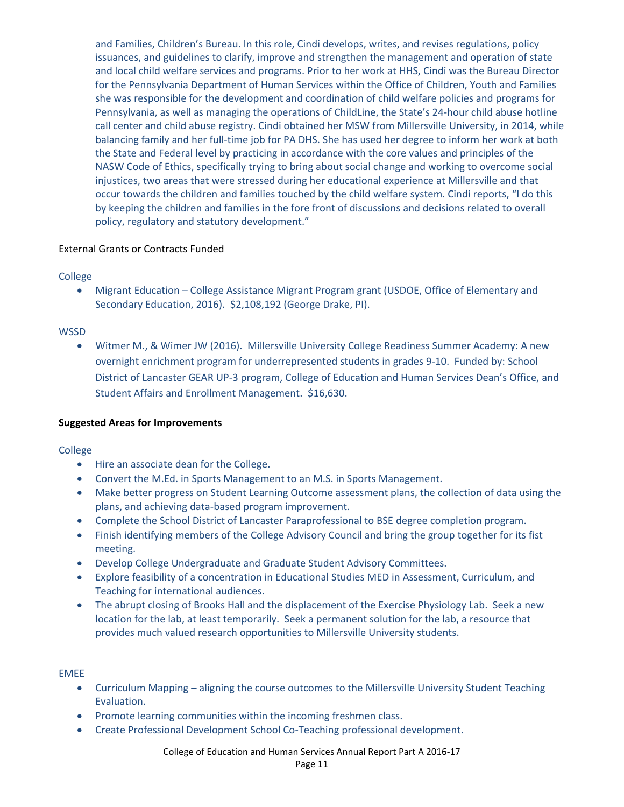and Families, Children's Bureau. In this role, Cindi develops, writes, and revises regulations, policy issuances, and guidelines to clarify, improve and strengthen the management and operation of state and local child welfare services and programs. Prior to her work at HHS, Cindi was the Bureau Director for the Pennsylvania Department of Human Services within the Office of Children, Youth and Families she was responsible for the development and coordination of child welfare policies and programs for Pennsylvania, as well as managing the operations of ChildLine, the State's 24‐hour child abuse hotline call center and child abuse registry. Cindi obtained her MSW from Millersville University, in 2014, while balancing family and her full‐time job for PA DHS. She has used her degree to inform her work at both the State and Federal level by practicing in accordance with the core values and principles of the NASW Code of Ethics, specifically trying to bring about social change and working to overcome social injustices, two areas that were stressed during her educational experience at Millersville and that occur towards the children and families touched by the child welfare system. Cindi reports, "I do this by keeping the children and families in the fore front of discussions and decisions related to overall policy, regulatory and statutory development."

### External Grants or Contracts Funded

### College

 Migrant Education – College Assistance Migrant Program grant (USDOE, Office of Elementary and Secondary Education, 2016). \$2,108,192 (George Drake, PI).

### **WSSD**

 Witmer M., & Wimer JW (2016). Millersville University College Readiness Summer Academy: A new overnight enrichment program for underrepresented students in grades 9‐10. Funded by: School District of Lancaster GEAR UP‐3 program, College of Education and Human Services Dean's Office, and Student Affairs and Enrollment Management. \$16,630.

### **Suggested Areas for Improvements**

### **College**

- Hire an associate dean for the College.
- Convert the M.Ed. in Sports Management to an M.S. in Sports Management.
- Make better progress on Student Learning Outcome assessment plans, the collection of data using the plans, and achieving data‐based program improvement.
- Complete the School District of Lancaster Paraprofessional to BSE degree completion program.
- Finish identifying members of the College Advisory Council and bring the group together for its fist meeting.
- Develop College Undergraduate and Graduate Student Advisory Committees.
- Explore feasibility of a concentration in Educational Studies MED in Assessment, Curriculum, and Teaching for international audiences.
- The abrupt closing of Brooks Hall and the displacement of the Exercise Physiology Lab. Seek a new location for the lab, at least temporarily. Seek a permanent solution for the lab, a resource that provides much valued research opportunities to Millersville University students.

#### EMEE

- Curriculum Mapping aligning the course outcomes to the Millersville University Student Teaching Evaluation.
- Promote learning communities within the incoming freshmen class.
- Create Professional Development School Co‐Teaching professional development.